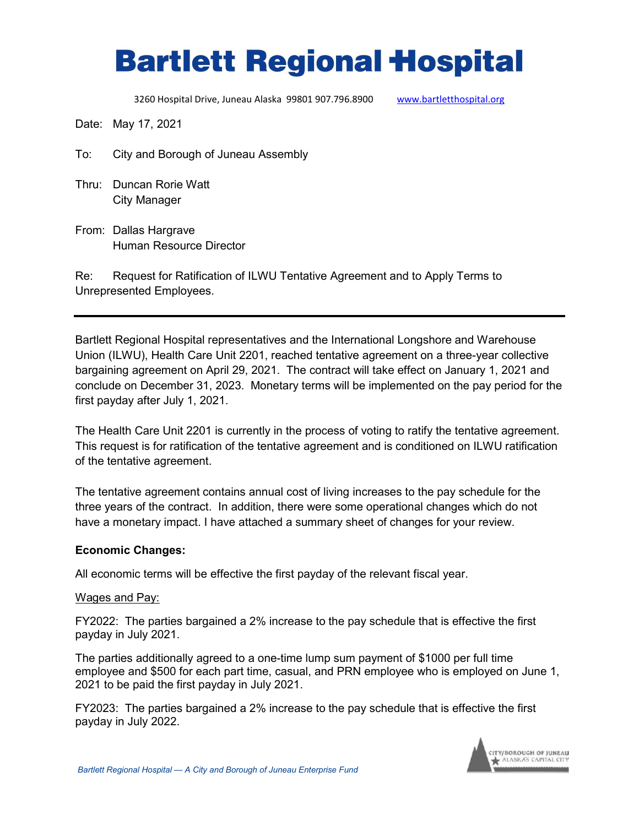# **Bartlett Regional Hospital**

3260 Hospital Drive, Juneau Alaska 99801 907.796.8900 [www.bartletthospital.org](http://www.bartletthospital.org/)

Date: May 17, 2021

- To: City and Borough of Juneau Assembly
- Thru: Duncan Rorie Watt City Manager
- From: Dallas Hargrave Human Resource Director

Re: Request for Ratification of ILWU Tentative Agreement and to Apply Terms to Unrepresented Employees.

Bartlett Regional Hospital representatives and the International Longshore and Warehouse Union (ILWU), Health Care Unit 2201, reached tentative agreement on a three-year collective bargaining agreement on April 29, 2021. The contract will take effect on January 1, 2021 and conclude on December 31, 2023. Monetary terms will be implemented on the pay period for the first payday after July 1, 2021.

The Health Care Unit 2201 is currently in the process of voting to ratify the tentative agreement. This request is for ratification of the tentative agreement and is conditioned on ILWU ratification of the tentative agreement.

The tentative agreement contains annual cost of living increases to the pay schedule for the three years of the contract. In addition, there were some operational changes which do not have a monetary impact. I have attached a summary sheet of changes for your review.

## **Economic Changes:**

All economic terms will be effective the first payday of the relevant fiscal year.

## Wages and Pay:

FY2022: The parties bargained a 2% increase to the pay schedule that is effective the first payday in July 2021.

The parties additionally agreed to a one-time lump sum payment of \$1000 per full time employee and \$500 for each part time, casual, and PRN employee who is employed on June 1, 2021 to be paid the first payday in July 2021.

FY2023: The parties bargained a 2% increase to the pay schedule that is effective the first payday in July 2022.

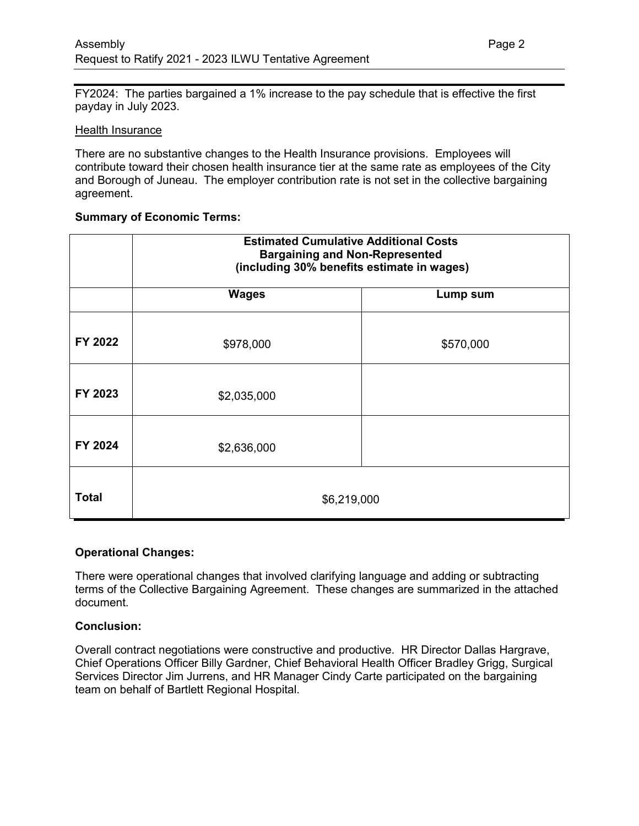FY2024: The parties bargained a 1% increase to the pay schedule that is effective the first payday in July 2023.

## Health Insurance

There are no substantive changes to the Health Insurance provisions. Employees will contribute toward their chosen health insurance tier at the same rate as employees of the City and Borough of Juneau. The employer contribution rate is not set in the collective bargaining agreement.

# **Summary of Economic Terms:**

|              | <b>Estimated Cumulative Additional Costs</b><br><b>Bargaining and Non-Represented</b><br>(including 30% benefits estimate in wages) |           |
|--------------|-------------------------------------------------------------------------------------------------------------------------------------|-----------|
|              | <b>Wages</b>                                                                                                                        | Lump sum  |
| FY 2022      | \$978,000                                                                                                                           | \$570,000 |
| FY 2023      | \$2,035,000                                                                                                                         |           |
| FY 2024      | \$2,636,000                                                                                                                         |           |
| <b>Total</b> | \$6,219,000                                                                                                                         |           |

# **Operational Changes:**

There were operational changes that involved clarifying language and adding or subtracting terms of the Collective Bargaining Agreement. These changes are summarized in the attached document.

## **Conclusion:**

Overall contract negotiations were constructive and productive. HR Director Dallas Hargrave, Chief Operations Officer Billy Gardner, Chief Behavioral Health Officer Bradley Grigg, Surgical Services Director Jim Jurrens, and HR Manager Cindy Carte participated on the bargaining team on behalf of Bartlett Regional Hospital.